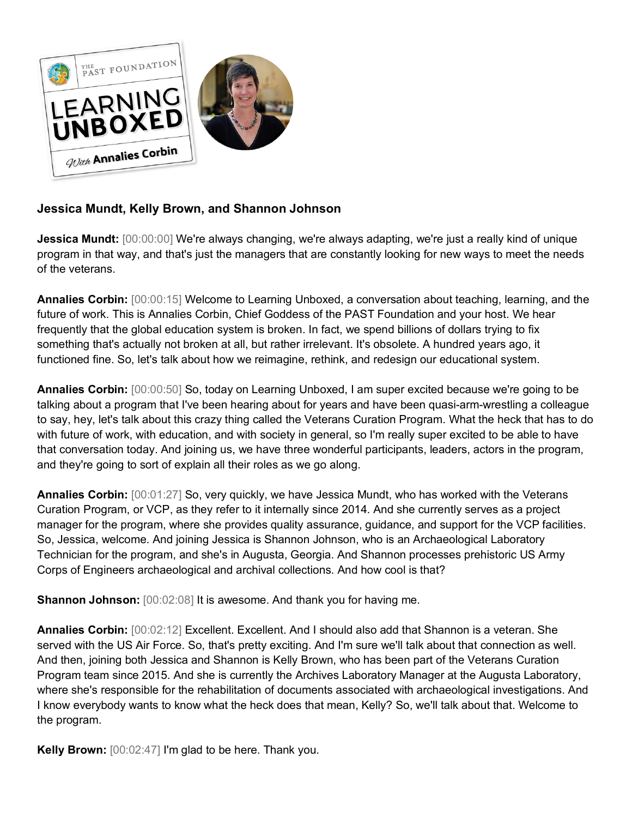

## **Jessica Mundt, Kelly Brown, and Shannon Johnson**

**Jessica Mundt:** [00:00:00] We're always changing, we're always adapting, we're just a really kind of unique program in that way, and that's just the managers that are constantly looking for new ways to meet the needs of the veterans.

**Annalies Corbin:** [00:00:15] Welcome to Learning Unboxed, a conversation about teaching, learning, and the future of work. This is Annalies Corbin, Chief Goddess of the PAST Foundation and your host. We hear frequently that the global education system is broken. In fact, we spend billions of dollars trying to fix something that's actually not broken at all, but rather irrelevant. It's obsolete. A hundred years ago, it functioned fine. So, let's talk about how we reimagine, rethink, and redesign our educational system.

**Annalies Corbin:** [00:00:50] So, today on Learning Unboxed, I am super excited because we're going to be talking about a program that I've been hearing about for years and have been quasi-arm-wrestling a colleague to say, hey, let's talk about this crazy thing called the Veterans Curation Program. What the heck that has to do with future of work, with education, and with society in general, so I'm really super excited to be able to have that conversation today. And joining us, we have three wonderful participants, leaders, actors in the program, and they're going to sort of explain all their roles as we go along.

**Annalies Corbin:** [00:01:27] So, very quickly, we have Jessica Mundt, who has worked with the Veterans Curation Program, or VCP, as they refer to it internally since 2014. And she currently serves as a project manager for the program, where she provides quality assurance, guidance, and support for the VCP facilities. So, Jessica, welcome. And joining Jessica is Shannon Johnson, who is an Archaeological Laboratory Technician for the program, and she's in Augusta, Georgia. And Shannon processes prehistoric US Army Corps of Engineers archaeological and archival collections. And how cool is that?

**Shannon Johnson:** [00:02:08] It is awesome. And thank you for having me.

**Annalies Corbin:** [00:02:12] Excellent. Excellent. And I should also add that Shannon is a veteran. She served with the US Air Force. So, that's pretty exciting. And I'm sure we'll talk about that connection as well. And then, joining both Jessica and Shannon is Kelly Brown, who has been part of the Veterans Curation Program team since 2015. And she is currently the Archives Laboratory Manager at the Augusta Laboratory, where she's responsible for the rehabilitation of documents associated with archaeological investigations. And I know everybody wants to know what the heck does that mean, Kelly? So, we'll talk about that. Welcome to the program.

**Kelly Brown:** [00:02:47] I'm glad to be here. Thank you.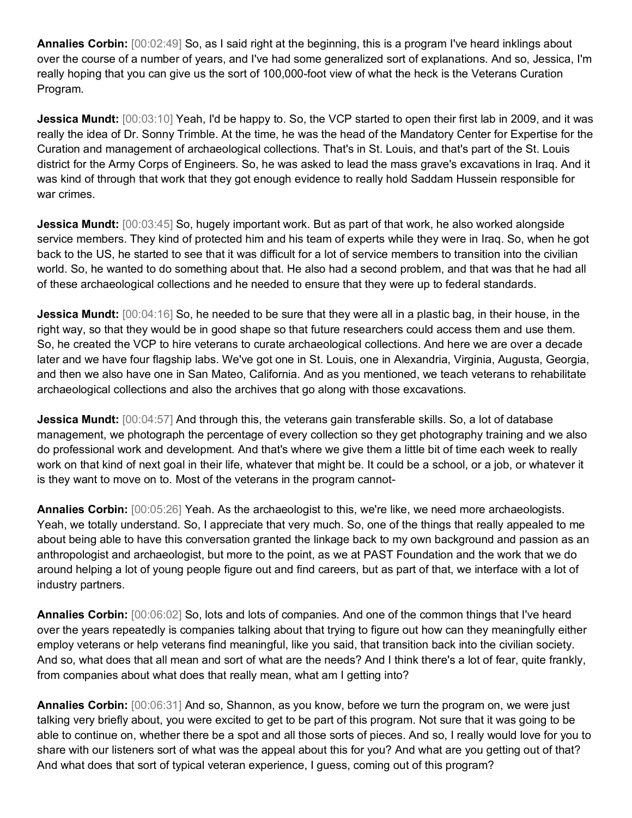**Annalies Corbin:** [00:02:49] So, as I said right at the beginning, this is a program I've heard inklings about over the course of a number of years, and I've had some generalized sort of explanations. And so, Jessica, I'm really hoping that you can give us the sort of 100,000-foot view of what the heck is the Veterans Curation Program.

**Jessica Mundt:** [00:03:10] Yeah, I'd be happy to. So, the VCP started to open their first lab in 2009, and it was really the idea of Dr. Sonny Trimble. At the time, he was the head of the Mandatory Center for Expertise for the Curation and management of archaeological collections. That's in St. Louis, and that's part of the St. Louis district for the Army Corps of Engineers. So, he was asked to lead the mass grave's excavations in Iraq. And it was kind of through that work that they got enough evidence to really hold Saddam Hussein responsible for war crimes.

**Jessica Mundt:** [00:03:45] So, hugely important work. But as part of that work, he also worked alongside service members. They kind of protected him and his team of experts while they were in Iraq. So, when he got back to the US, he started to see that it was difficult for a lot of service members to transition into the civilian world. So, he wanted to do something about that. He also had a second problem, and that was that he had all of these archaeological collections and he needed to ensure that they were up to federal standards.

**Jessica Mundt:**  $[00:04:16]$  So, he needed to be sure that they were all in a plastic bag, in their house, in the right way, so that they would be in good shape so that future researchers could access them and use them. So, he created the VCP to hire veterans to curate archaeological collections. And here we are over a decade later and we have four flagship labs. We've got one in St. Louis, one in Alexandria, Virginia, Augusta, Georgia, and then we also have one in San Mateo, California. And as you mentioned, we teach veterans to rehabilitate archaeological collections and also the archives that go along with those excavations.

**Jessica Mundt:** [00:04:57] And through this, the veterans gain transferable skills. So, a lot of database management, we photograph the percentage of every collection so they get photography training and we also do professional work and development. And that's where we give them a little bit of time each week to really work on that kind of next goal in their life, whatever that might be. It could be a school, or a job, or whatever it is they want to move on to. Most of the veterans in the program cannot-

**Annalies Corbin:** [00:05:26] Yeah. As the archaeologist to this, we're like, we need more archaeologists. Yeah, we totally understand. So, I appreciate that very much. So, one of the things that really appealed to me about being able to have this conversation granted the linkage back to my own background and passion as an anthropologist and archaeologist, but more to the point, as we at PAST Foundation and the work that we do around helping a lot of young people figure out and find careers, but as part of that, we interface with a lot of industry partners.

**Annalies Corbin:** [00:06:02] So, lots and lots of companies. And one of the common things that I've heard over the years repeatedly is companies talking about that trying to figure out how can they meaningfully either employ veterans or help veterans find meaningful, like you said, that transition back into the civilian society. And so, what does that all mean and sort of what are the needs? And I think there's a lot of fear, quite frankly, from companies about what does that really mean, what am I getting into?

**Annalies Corbin:** [00:06:31] And so, Shannon, as you know, before we turn the program on, we were just talking very briefly about, you were excited to get to be part of this program. Not sure that it was going to be able to continue on, whether there be a spot and all those sorts of pieces. And so, I really would love for you to share with our listeners sort of what was the appeal about this for you? And what are you getting out of that? And what does that sort of typical veteran experience, I guess, coming out of this program?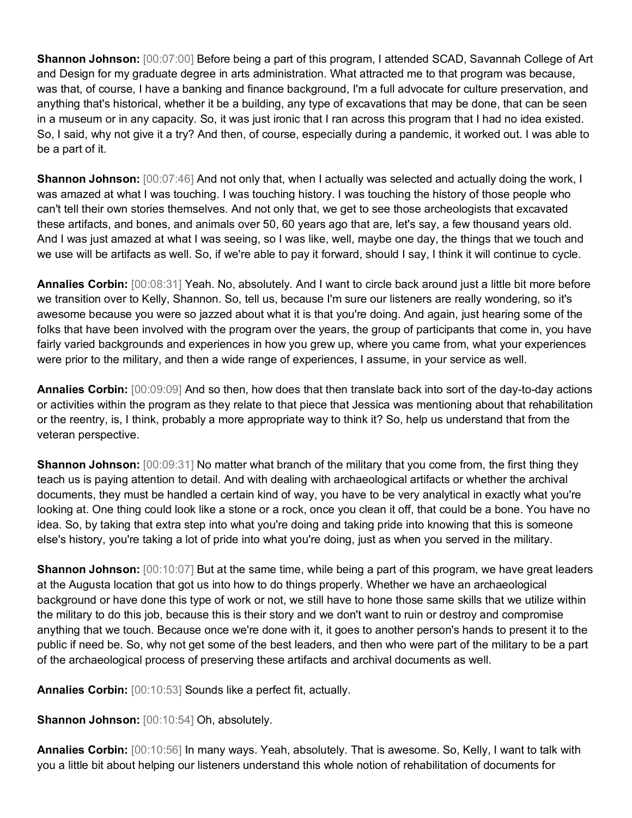**Shannon Johnson:** [00:07:00] Before being a part of this program, I attended SCAD, Savannah College of Art and Design for my graduate degree in arts administration. What attracted me to that program was because, was that, of course, I have a banking and finance background, I'm a full advocate for culture preservation, and anything that's historical, whether it be a building, any type of excavations that may be done, that can be seen in a museum or in any capacity. So, it was just ironic that I ran across this program that I had no idea existed. So, I said, why not give it a try? And then, of course, especially during a pandemic, it worked out. I was able to be a part of it.

**Shannon Johnson:** [00:07:46] And not only that, when I actually was selected and actually doing the work, I was amazed at what I was touching. I was touching history. I was touching the history of those people who can't tell their own stories themselves. And not only that, we get to see those archeologists that excavated these artifacts, and bones, and animals over 50, 60 years ago that are, let's say, a few thousand years old. And I was just amazed at what I was seeing, so I was like, well, maybe one day, the things that we touch and we use will be artifacts as well. So, if we're able to pay it forward, should I say, I think it will continue to cycle.

**Annalies Corbin:** [00:08:31] Yeah. No, absolutely. And I want to circle back around just a little bit more before we transition over to Kelly, Shannon. So, tell us, because I'm sure our listeners are really wondering, so it's awesome because you were so jazzed about what it is that you're doing. And again, just hearing some of the folks that have been involved with the program over the years, the group of participants that come in, you have fairly varied backgrounds and experiences in how you grew up, where you came from, what your experiences were prior to the military, and then a wide range of experiences, I assume, in your service as well.

**Annalies Corbin:** [00:09:09] And so then, how does that then translate back into sort of the day-to-day actions or activities within the program as they relate to that piece that Jessica was mentioning about that rehabilitation or the reentry, is, I think, probably a more appropriate way to think it? So, help us understand that from the veteran perspective.

**Shannon Johnson:**  $[00:09:31]$  No matter what branch of the military that you come from, the first thing they teach us is paying attention to detail. And with dealing with archaeological artifacts or whether the archival documents, they must be handled a certain kind of way, you have to be very analytical in exactly what you're looking at. One thing could look like a stone or a rock, once you clean it off, that could be a bone. You have no idea. So, by taking that extra step into what you're doing and taking pride into knowing that this is someone else's history, you're taking a lot of pride into what you're doing, just as when you served in the military.

**Shannon Johnson:** [00:10:07] But at the same time, while being a part of this program, we have great leaders at the Augusta location that got us into how to do things properly. Whether we have an archaeological background or have done this type of work or not, we still have to hone those same skills that we utilize within the military to do this job, because this is their story and we don't want to ruin or destroy and compromise anything that we touch. Because once we're done with it, it goes to another person's hands to present it to the public if need be. So, why not get some of the best leaders, and then who were part of the military to be a part of the archaeological process of preserving these artifacts and archival documents as well.

**Annalies Corbin:** [00:10:53] Sounds like a perfect fit, actually.

**Shannon Johnson:** [00:10:54] Oh, absolutely.

**Annalies Corbin:** [00:10:56] In many ways. Yeah, absolutely. That is awesome. So, Kelly, I want to talk with you a little bit about helping our listeners understand this whole notion of rehabilitation of documents for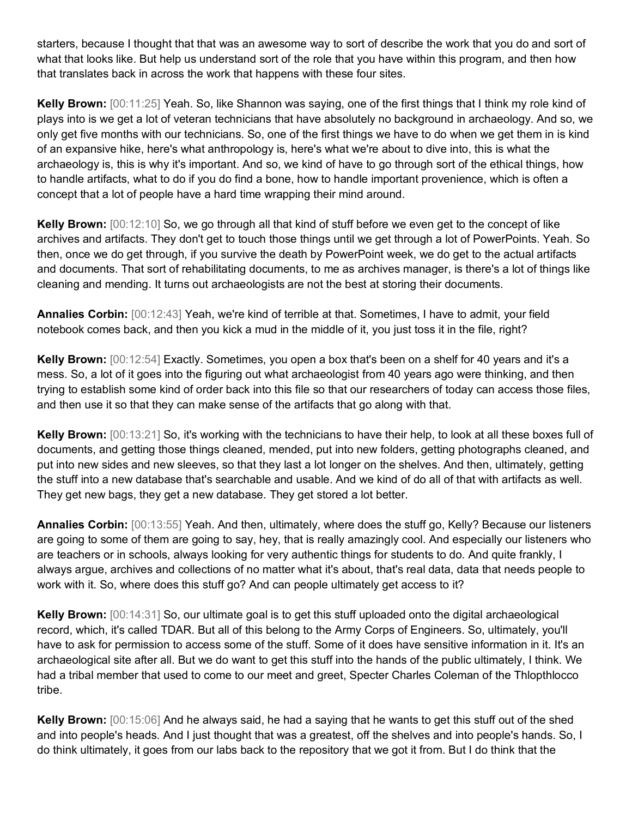starters, because I thought that that was an awesome way to sort of describe the work that you do and sort of what that looks like. But help us understand sort of the role that you have within this program, and then how that translates back in across the work that happens with these four sites.

**Kelly Brown:** [00:11:25] Yeah. So, like Shannon was saying, one of the first things that I think my role kind of plays into is we get a lot of veteran technicians that have absolutely no background in archaeology. And so, we only get five months with our technicians. So, one of the first things we have to do when we get them in is kind of an expansive hike, here's what anthropology is, here's what we're about to dive into, this is what the archaeology is, this is why it's important. And so, we kind of have to go through sort of the ethical things, how to handle artifacts, what to do if you do find a bone, how to handle important provenience, which is often a concept that a lot of people have a hard time wrapping their mind around.

**Kelly Brown:** [00:12:10] So, we go through all that kind of stuff before we even get to the concept of like archives and artifacts. They don't get to touch those things until we get through a lot of PowerPoints. Yeah. So then, once we do get through, if you survive the death by PowerPoint week, we do get to the actual artifacts and documents. That sort of rehabilitating documents, to me as archives manager, is there's a lot of things like cleaning and mending. It turns out archaeologists are not the best at storing their documents.

**Annalies Corbin:** [00:12:43] Yeah, we're kind of terrible at that. Sometimes, I have to admit, your field notebook comes back, and then you kick a mud in the middle of it, you just toss it in the file, right?

**Kelly Brown:** [00:12:54] Exactly. Sometimes, you open a box that's been on a shelf for 40 years and it's a mess. So, a lot of it goes into the figuring out what archaeologist from 40 years ago were thinking, and then trying to establish some kind of order back into this file so that our researchers of today can access those files, and then use it so that they can make sense of the artifacts that go along with that.

**Kelly Brown:** [00:13:21] So, it's working with the technicians to have their help, to look at all these boxes full of documents, and getting those things cleaned, mended, put into new folders, getting photographs cleaned, and put into new sides and new sleeves, so that they last a lot longer on the shelves. And then, ultimately, getting the stuff into a new database that's searchable and usable. And we kind of do all of that with artifacts as well. They get new bags, they get a new database. They get stored a lot better.

**Annalies Corbin:** [00:13:55] Yeah. And then, ultimately, where does the stuff go, Kelly? Because our listeners are going to some of them are going to say, hey, that is really amazingly cool. And especially our listeners who are teachers or in schools, always looking for very authentic things for students to do. And quite frankly, I always argue, archives and collections of no matter what it's about, that's real data, data that needs people to work with it. So, where does this stuff go? And can people ultimately get access to it?

**Kelly Brown:** [00:14:31] So, our ultimate goal is to get this stuff uploaded onto the digital archaeological record, which, it's called TDAR. But all of this belong to the Army Corps of Engineers. So, ultimately, you'll have to ask for permission to access some of the stuff. Some of it does have sensitive information in it. It's an archaeological site after all. But we do want to get this stuff into the hands of the public ultimately, I think. We had a tribal member that used to come to our meet and greet, Specter Charles Coleman of the Thlopthlocco tribe.

**Kelly Brown:** [00:15:06] And he always said, he had a saying that he wants to get this stuff out of the shed and into people's heads. And I just thought that was a greatest, off the shelves and into people's hands. So, I do think ultimately, it goes from our labs back to the repository that we got it from. But I do think that the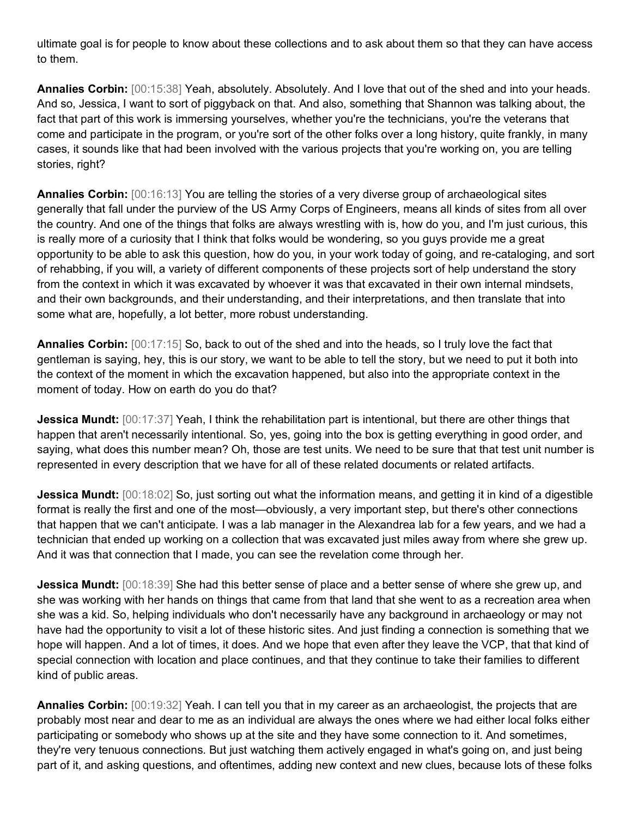ultimate goal is for people to know about these collections and to ask about them so that they can have access to them.

**Annalies Corbin:** [00:15:38] Yeah, absolutely. Absolutely. And I love that out of the shed and into your heads. And so, Jessica, I want to sort of piggyback on that. And also, something that Shannon was talking about, the fact that part of this work is immersing yourselves, whether you're the technicians, you're the veterans that come and participate in the program, or you're sort of the other folks over a long history, quite frankly, in many cases, it sounds like that had been involved with the various projects that you're working on, you are telling stories, right?

**Annalies Corbin:** [00:16:13] You are telling the stories of a very diverse group of archaeological sites generally that fall under the purview of the US Army Corps of Engineers, means all kinds of sites from all over the country. And one of the things that folks are always wrestling with is, how do you, and I'm just curious, this is really more of a curiosity that I think that folks would be wondering, so you guys provide me a great opportunity to be able to ask this question, how do you, in your work today of going, and re-cataloging, and sort of rehabbing, if you will, a variety of different components of these projects sort of help understand the story from the context in which it was excavated by whoever it was that excavated in their own internal mindsets, and their own backgrounds, and their understanding, and their interpretations, and then translate that into some what are, hopefully, a lot better, more robust understanding.

**Annalies Corbin:** [00:17:15] So, back to out of the shed and into the heads, so I truly love the fact that gentleman is saying, hey, this is our story, we want to be able to tell the story, but we need to put it both into the context of the moment in which the excavation happened, but also into the appropriate context in the moment of today. How on earth do you do that?

**Jessica Mundt:** [00:17:37] Yeah, I think the rehabilitation part is intentional, but there are other things that happen that aren't necessarily intentional. So, yes, going into the box is getting everything in good order, and saying, what does this number mean? Oh, those are test units. We need to be sure that that test unit number is represented in every description that we have for all of these related documents or related artifacts.

**Jessica Mundt:** [00:18:02] So, just sorting out what the information means, and getting it in kind of a digestible format is really the first and one of the most—obviously, a very important step, but there's other connections that happen that we can't anticipate. I was a lab manager in the Alexandrea lab for a few years, and we had a technician that ended up working on a collection that was excavated just miles away from where she grew up. And it was that connection that I made, you can see the revelation come through her.

**Jessica Mundt:** [00:18:39] She had this better sense of place and a better sense of where she grew up, and she was working with her hands on things that came from that land that she went to as a recreation area when she was a kid. So, helping individuals who don't necessarily have any background in archaeology or may not have had the opportunity to visit a lot of these historic sites. And just finding a connection is something that we hope will happen. And a lot of times, it does. And we hope that even after they leave the VCP, that that kind of special connection with location and place continues, and that they continue to take their families to different kind of public areas.

**Annalies Corbin:** [00:19:32] Yeah. I can tell you that in my career as an archaeologist, the projects that are probably most near and dear to me as an individual are always the ones where we had either local folks either participating or somebody who shows up at the site and they have some connection to it. And sometimes, they're very tenuous connections. But just watching them actively engaged in what's going on, and just being part of it, and asking questions, and oftentimes, adding new context and new clues, because lots of these folks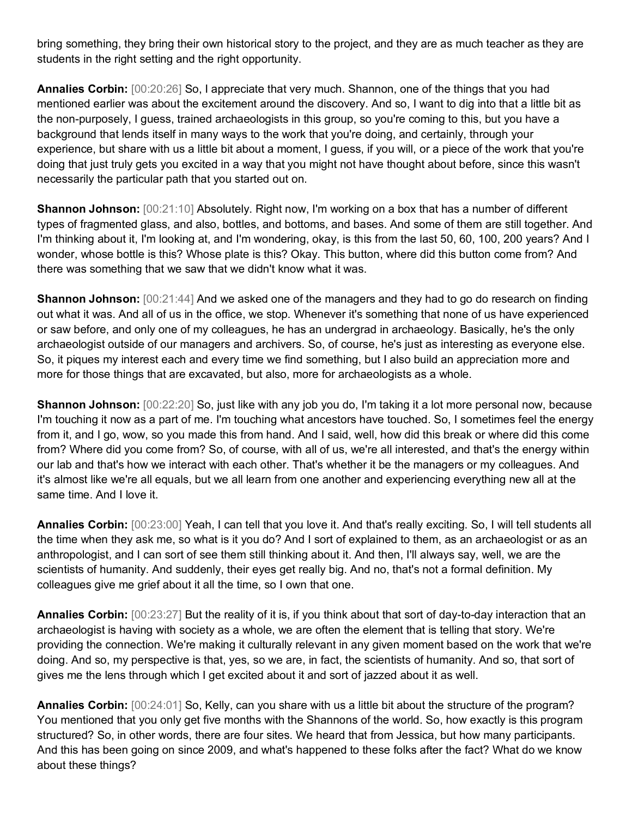bring something, they bring their own historical story to the project, and they are as much teacher as they are students in the right setting and the right opportunity.

**Annalies Corbin:** [00:20:26] So, I appreciate that very much. Shannon, one of the things that you had mentioned earlier was about the excitement around the discovery. And so, I want to dig into that a little bit as the non-purposely, I guess, trained archaeologists in this group, so you're coming to this, but you have a background that lends itself in many ways to the work that you're doing, and certainly, through your experience, but share with us a little bit about a moment, I guess, if you will, or a piece of the work that you're doing that just truly gets you excited in a way that you might not have thought about before, since this wasn't necessarily the particular path that you started out on.

**Shannon Johnson:** [00:21:10] Absolutely. Right now, I'm working on a box that has a number of different types of fragmented glass, and also, bottles, and bottoms, and bases. And some of them are still together. And I'm thinking about it, I'm looking at, and I'm wondering, okay, is this from the last 50, 60, 100, 200 years? And I wonder, whose bottle is this? Whose plate is this? Okay. This button, where did this button come from? And there was something that we saw that we didn't know what it was.

**Shannon Johnson:**  $[00:21:44]$  And we asked one of the managers and they had to go do research on finding out what it was. And all of us in the office, we stop. Whenever it's something that none of us have experienced or saw before, and only one of my colleagues, he has an undergrad in archaeology. Basically, he's the only archaeologist outside of our managers and archivers. So, of course, he's just as interesting as everyone else. So, it piques my interest each and every time we find something, but I also build an appreciation more and more for those things that are excavated, but also, more for archaeologists as a whole.

**Shannon Johnson:** [00:22:20] So, just like with any job you do, I'm taking it a lot more personal now, because I'm touching it now as a part of me. I'm touching what ancestors have touched. So, I sometimes feel the energy from it, and I go, wow, so you made this from hand. And I said, well, how did this break or where did this come from? Where did you come from? So, of course, with all of us, we're all interested, and that's the energy within our lab and that's how we interact with each other. That's whether it be the managers or my colleagues. And it's almost like we're all equals, but we all learn from one another and experiencing everything new all at the same time. And I love it.

**Annalies Corbin:** [00:23:00] Yeah, I can tell that you love it. And that's really exciting. So, I will tell students all the time when they ask me, so what is it you do? And I sort of explained to them, as an archaeologist or as an anthropologist, and I can sort of see them still thinking about it. And then, I'll always say, well, we are the scientists of humanity. And suddenly, their eyes get really big. And no, that's not a formal definition. My colleagues give me grief about it all the time, so I own that one.

**Annalies Corbin:** [00:23:27] But the reality of it is, if you think about that sort of day-to-day interaction that an archaeologist is having with society as a whole, we are often the element that is telling that story. We're providing the connection. We're making it culturally relevant in any given moment based on the work that we're doing. And so, my perspective is that, yes, so we are, in fact, the scientists of humanity. And so, that sort of gives me the lens through which I get excited about it and sort of jazzed about it as well.

**Annalies Corbin:** [00:24:01] So, Kelly, can you share with us a little bit about the structure of the program? You mentioned that you only get five months with the Shannons of the world. So, how exactly is this program structured? So, in other words, there are four sites. We heard that from Jessica, but how many participants. And this has been going on since 2009, and what's happened to these folks after the fact? What do we know about these things?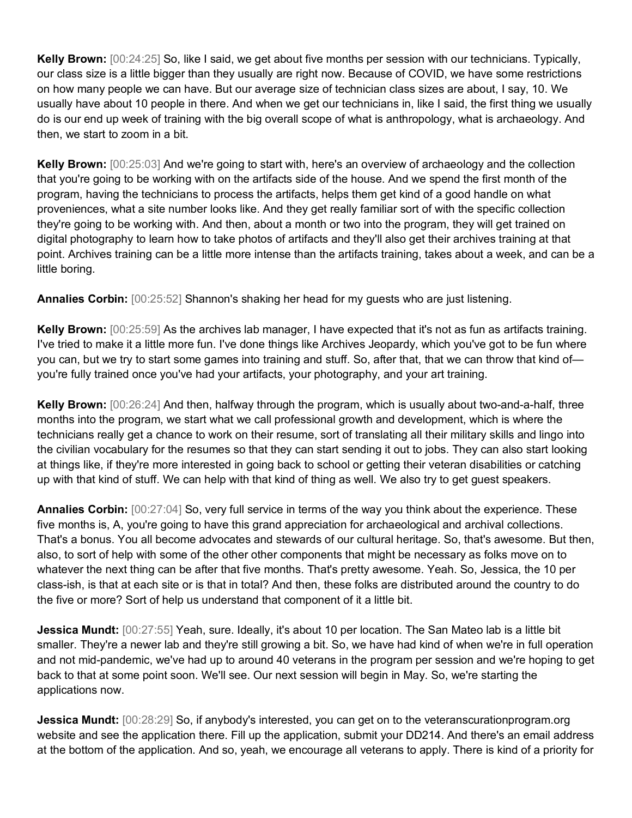**Kelly Brown:** [00:24:25] So, like I said, we get about five months per session with our technicians. Typically, our class size is a little bigger than they usually are right now. Because of COVID, we have some restrictions on how many people we can have. But our average size of technician class sizes are about, I say, 10. We usually have about 10 people in there. And when we get our technicians in, like I said, the first thing we usually do is our end up week of training with the big overall scope of what is anthropology, what is archaeology. And then, we start to zoom in a bit.

**Kelly Brown:** [00:25:03] And we're going to start with, here's an overview of archaeology and the collection that you're going to be working with on the artifacts side of the house. And we spend the first month of the program, having the technicians to process the artifacts, helps them get kind of a good handle on what proveniences, what a site number looks like. And they get really familiar sort of with the specific collection they're going to be working with. And then, about a month or two into the program, they will get trained on digital photography to learn how to take photos of artifacts and they'll also get their archives training at that point. Archives training can be a little more intense than the artifacts training, takes about a week, and can be a little boring.

**Annalies Corbin:** [00:25:52] Shannon's shaking her head for my guests who are just listening.

**Kelly Brown:** [00:25:59] As the archives lab manager, I have expected that it's not as fun as artifacts training. I've tried to make it a little more fun. I've done things like Archives Jeopardy, which you've got to be fun where you can, but we try to start some games into training and stuff. So, after that, that we can throw that kind of you're fully trained once you've had your artifacts, your photography, and your art training.

**Kelly Brown:** [00:26:24] And then, halfway through the program, which is usually about two-and-a-half, three months into the program, we start what we call professional growth and development, which is where the technicians really get a chance to work on their resume, sort of translating all their military skills and lingo into the civilian vocabulary for the resumes so that they can start sending it out to jobs. They can also start looking at things like, if they're more interested in going back to school or getting their veteran disabilities or catching up with that kind of stuff. We can help with that kind of thing as well. We also try to get guest speakers.

**Annalies Corbin:** [00:27:04] So, very full service in terms of the way you think about the experience. These five months is, A, you're going to have this grand appreciation for archaeological and archival collections. That's a bonus. You all become advocates and stewards of our cultural heritage. So, that's awesome. But then, also, to sort of help with some of the other other components that might be necessary as folks move on to whatever the next thing can be after that five months. That's pretty awesome. Yeah. So, Jessica, the 10 per class-ish, is that at each site or is that in total? And then, these folks are distributed around the country to do the five or more? Sort of help us understand that component of it a little bit.

**Jessica Mundt:** [00:27:55] Yeah, sure. Ideally, it's about 10 per location. The San Mateo lab is a little bit smaller. They're a newer lab and they're still growing a bit. So, we have had kind of when we're in full operation and not mid-pandemic, we've had up to around 40 veterans in the program per session and we're hoping to get back to that at some point soon. We'll see. Our next session will begin in May. So, we're starting the applications now.

**Jessica Mundt:** [00:28:29] So, if anybody's interested, you can get on to the veteranscurationprogram.org website and see the application there. Fill up the application, submit your DD214. And there's an email address at the bottom of the application. And so, yeah, we encourage all veterans to apply. There is kind of a priority for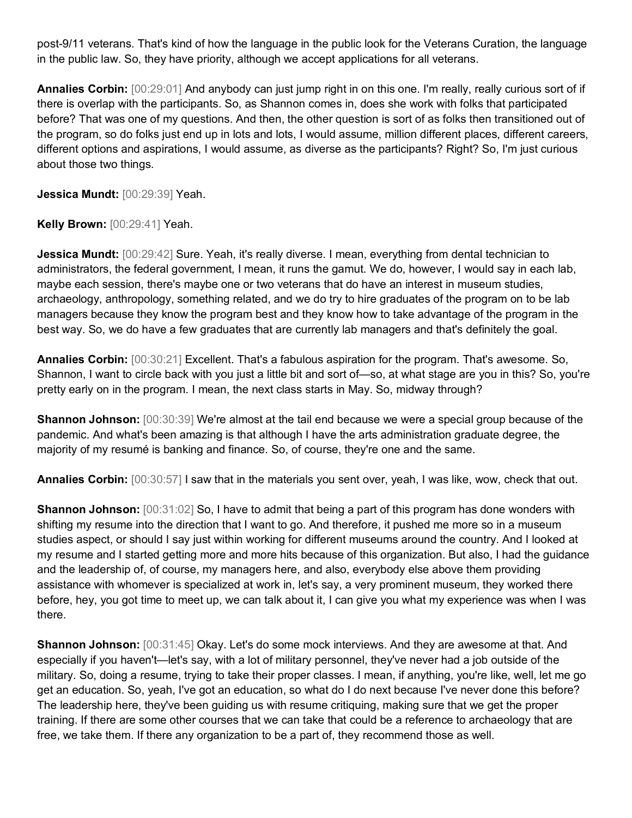post-9/11 veterans. That's kind of how the language in the public look for the Veterans Curation, the language in the public law. So, they have priority, although we accept applications for all veterans.

**Annalies Corbin:** [00:29:01] And anybody can just jump right in on this one. I'm really, really curious sort of if there is overlap with the participants. So, as Shannon comes in, does she work with folks that participated before? That was one of my questions. And then, the other question is sort of as folks then transitioned out of the program, so do folks just end up in lots and lots, I would assume, million different places, different careers, different options and aspirations, I would assume, as diverse as the participants? Right? So, I'm just curious about those two things.

**Jessica Mundt:** [00:29:39] Yeah.

**Kelly Brown:** [00:29:41] Yeah.

**Jessica Mundt:** [00:29:42] Sure. Yeah, it's really diverse. I mean, everything from dental technician to administrators, the federal government, I mean, it runs the gamut. We do, however, I would say in each lab, maybe each session, there's maybe one or two veterans that do have an interest in museum studies, archaeology, anthropology, something related, and we do try to hire graduates of the program on to be lab managers because they know the program best and they know how to take advantage of the program in the best way. So, we do have a few graduates that are currently lab managers and that's definitely the goal.

**Annalies Corbin:** [00:30:21] Excellent. That's a fabulous aspiration for the program. That's awesome. So, Shannon, I want to circle back with you just a little bit and sort of—so, at what stage are you in this? So, you're pretty early on in the program. I mean, the next class starts in May. So, midway through?

**Shannon Johnson:** [00:30:39] We're almost at the tail end because we were a special group because of the pandemic. And what's been amazing is that although I have the arts administration graduate degree, the majority of my resumé is banking and finance. So, of course, they're one and the same.

**Annalies Corbin:** [00:30:57] I saw that in the materials you sent over, yeah, I was like, wow, check that out.

**Shannon Johnson:**  $[00:31:02]$  So, I have to admit that being a part of this program has done wonders with shifting my resume into the direction that I want to go. And therefore, it pushed me more so in a museum studies aspect, or should I say just within working for different museums around the country. And I looked at my resume and I started getting more and more hits because of this organization. But also, I had the guidance and the leadership of, of course, my managers here, and also, everybody else above them providing assistance with whomever is specialized at work in, let's say, a very prominent museum, they worked there before, hey, you got time to meet up, we can talk about it, I can give you what my experience was when I was there.

**Shannon Johnson:** [00:31:45] Okay. Let's do some mock interviews. And they are awesome at that. And especially if you haven't—let's say, with a lot of military personnel, they've never had a job outside of the military. So, doing a resume, trying to take their proper classes. I mean, if anything, you're like, well, let me go get an education. So, yeah, I've got an education, so what do I do next because I've never done this before? The leadership here, they've been guiding us with resume critiquing, making sure that we get the proper training. If there are some other courses that we can take that could be a reference to archaeology that are free, we take them. If there any organization to be a part of, they recommend those as well.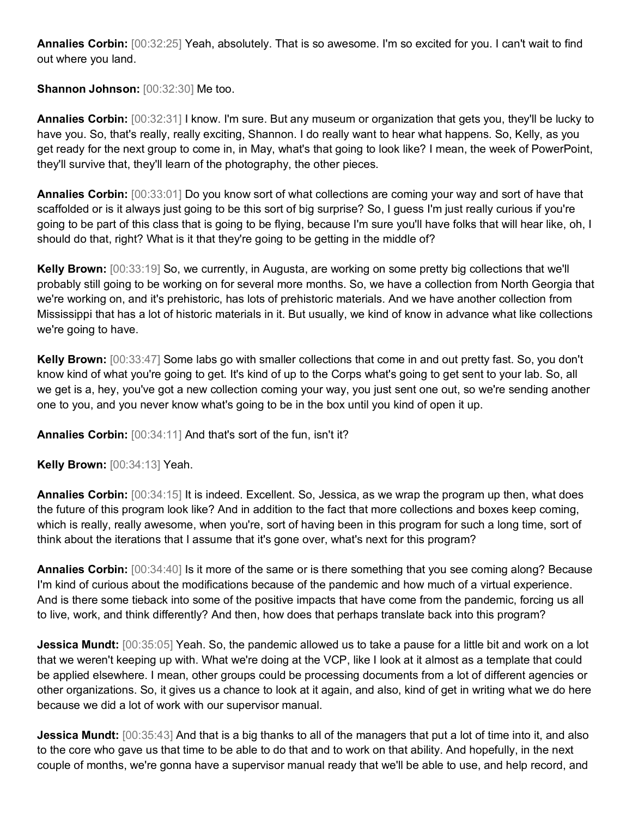**Annalies Corbin:** [00:32:25] Yeah, absolutely. That is so awesome. I'm so excited for you. I can't wait to find out where you land.

**Shannon Johnson:** [00:32:30] Me too.

**Annalies Corbin:** [00:32:31] I know. I'm sure. But any museum or organization that gets you, they'll be lucky to have you. So, that's really, really exciting, Shannon. I do really want to hear what happens. So, Kelly, as you get ready for the next group to come in, in May, what's that going to look like? I mean, the week of PowerPoint, they'll survive that, they'll learn of the photography, the other pieces.

**Annalies Corbin:** [00:33:01] Do you know sort of what collections are coming your way and sort of have that scaffolded or is it always just going to be this sort of big surprise? So, I guess I'm just really curious if you're going to be part of this class that is going to be flying, because I'm sure you'll have folks that will hear like, oh, I should do that, right? What is it that they're going to be getting in the middle of?

**Kelly Brown:** [00:33:19] So, we currently, in Augusta, are working on some pretty big collections that we'll probably still going to be working on for several more months. So, we have a collection from North Georgia that we're working on, and it's prehistoric, has lots of prehistoric materials. And we have another collection from Mississippi that has a lot of historic materials in it. But usually, we kind of know in advance what like collections we're going to have.

**Kelly Brown:** [00:33:47] Some labs go with smaller collections that come in and out pretty fast. So, you don't know kind of what you're going to get. It's kind of up to the Corps what's going to get sent to your lab. So, all we get is a, hey, you've got a new collection coming your way, you just sent one out, so we're sending another one to you, and you never know what's going to be in the box until you kind of open it up.

**Annalies Corbin:** [00:34:11] And that's sort of the fun, isn't it?

**Kelly Brown:** [00:34:13] Yeah.

**Annalies Corbin:** [00:34:15] It is indeed. Excellent. So, Jessica, as we wrap the program up then, what does the future of this program look like? And in addition to the fact that more collections and boxes keep coming, which is really, really awesome, when you're, sort of having been in this program for such a long time, sort of think about the iterations that I assume that it's gone over, what's next for this program?

**Annalies Corbin:** [00:34:40] Is it more of the same or is there something that you see coming along? Because I'm kind of curious about the modifications because of the pandemic and how much of a virtual experience. And is there some tieback into some of the positive impacts that have come from the pandemic, forcing us all to live, work, and think differently? And then, how does that perhaps translate back into this program?

**Jessica Mundt:** [00:35:05] Yeah. So, the pandemic allowed us to take a pause for a little bit and work on a lot that we weren't keeping up with. What we're doing at the VCP, like I look at it almost as a template that could be applied elsewhere. I mean, other groups could be processing documents from a lot of different agencies or other organizations. So, it gives us a chance to look at it again, and also, kind of get in writing what we do here because we did a lot of work with our supervisor manual.

**Jessica Mundt:** [00:35:43] And that is a big thanks to all of the managers that put a lot of time into it, and also to the core who gave us that time to be able to do that and to work on that ability. And hopefully, in the next couple of months, we're gonna have a supervisor manual ready that we'll be able to use, and help record, and